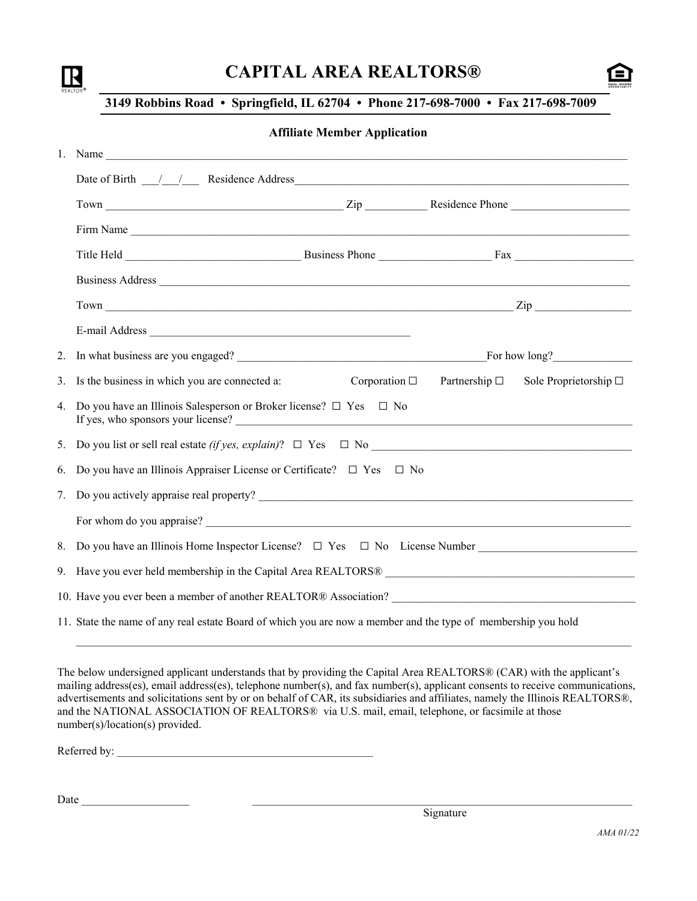| ŘE |  |  |
|----|--|--|

# **CAPITAL AREA REALTORS®**



## **3149 Robbins Road • Springfield, IL 62704 • Phone 217-698-7000 • Fax 217-698-7009**

#### **Affiliate Member Application**

|    | Date of Birth 11 1 Residence Address 100 and 200 and 200 and 200 and 200 and 200 and 200 and 200 and 200 and 200 and 200 and 200 and 200 and 200 and 200 and 200 and 200 and 200 and 200 and 200 and 200 and 200 and 200 and 2 |                       |                       |                               |
|----|--------------------------------------------------------------------------------------------------------------------------------------------------------------------------------------------------------------------------------|-----------------------|-----------------------|-------------------------------|
|    |                                                                                                                                                                                                                                |                       |                       |                               |
|    | Firm Name                                                                                                                                                                                                                      |                       |                       |                               |
|    |                                                                                                                                                                                                                                |                       |                       |                               |
|    |                                                                                                                                                                                                                                |                       |                       |                               |
|    | Town $\frac{Zip}{\sqrt{p^2+q^2}}$                                                                                                                                                                                              |                       |                       |                               |
|    |                                                                                                                                                                                                                                |                       |                       |                               |
| 2. |                                                                                                                                                                                                                                |                       |                       |                               |
| 3. | Is the business in which you are connected a:                                                                                                                                                                                  | Corporation $\square$ | Partnership $\square$ | Sole Proprietorship $\square$ |
| 4. | Do you have an Illinois Salesperson or Broker license? $\Box$ Yes $\Box$ No<br>If yes, who sponsors your license?                                                                                                              |                       |                       |                               |
| 5. |                                                                                                                                                                                                                                |                       |                       |                               |
| 6. | Do you have an Illinois Appraiser License or Certificate? $\Box$ Yes $\Box$ No                                                                                                                                                 |                       |                       |                               |
| 7. |                                                                                                                                                                                                                                |                       |                       |                               |
|    |                                                                                                                                                                                                                                |                       |                       |                               |
| 8. | Do you have an Illinois Home Inspector License? □ Yes □ No License Number _________________________                                                                                                                            |                       |                       |                               |
|    |                                                                                                                                                                                                                                |                       |                       |                               |
|    | 10. Have you ever been a member of another REALTOR® Association?<br><u>Letting and the contract of the set of another REALTOR® Association?</u>                                                                                |                       |                       |                               |
|    | 11. State the name of any real estate Board of which you are now a member and the type of membership you hold                                                                                                                  |                       |                       |                               |

The below undersigned applicant understands that by providing the Capital Area REALTORS® (CAR) with the applicant's mailing address(es), email address(es), telephone number(s), and fax number(s), applicant consents to receive communications, advertisements and solicitations sent by or on behalf of CAR, its subsidiaries and affiliates, namely the Illinois REALTORS®, and the NATIONAL ASSOCIATION OF REALTORS® via U.S. mail, email, telephone, or facsimile at those number(s)/location(s) provided.

Referred by: \_\_\_\_\_\_\_\_\_\_\_\_\_\_\_\_\_\_\_\_\_\_\_\_\_\_\_\_\_\_\_\_\_\_\_\_\_\_\_\_\_\_\_\_\_\_\_\_\_\_

Date \_\_\_\_\_\_\_\_\_\_\_\_\_\_\_\_\_\_\_ \_\_\_\_\_\_\_\_\_\_\_\_\_\_\_\_\_\_\_\_\_\_\_\_\_\_\_\_\_\_\_\_\_\_\_\_\_\_\_\_\_\_\_\_\_\_\_\_\_\_\_\_\_\_\_\_\_\_\_\_\_\_\_\_\_\_\_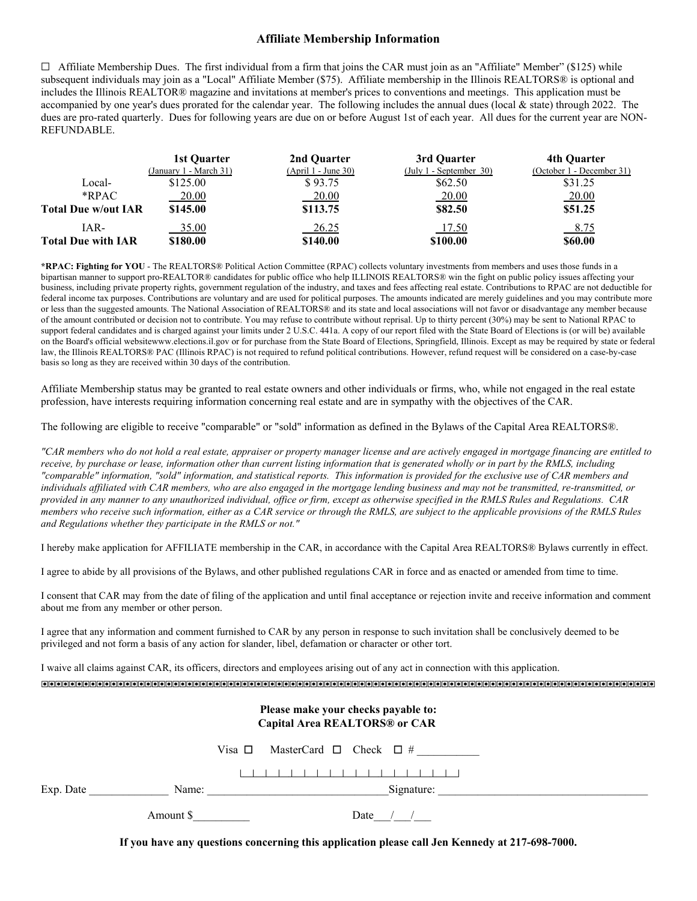### **Affiliate Membership Information**

 $\Box$  Affiliate Membership Dues. The first individual from a firm that joins the CAR must join as an "Affiliate" Member" (\$125) while subsequent individuals may join as a "Local" Affiliate Member (\$75). Affiliate membership in the Illinois REALTORS® is optional and includes the Illinois REALTOR® magazine and invitations at member's prices to conventions and meetings. This application must be accompanied by one year's dues prorated for the calendar year. The following includes the annual dues (local & state) through 2022. The dues are pro-rated quarterly. Dues for following years are due on or before August 1st of each year. All dues for the current year are NON-REFUNDABLE.

|                            | 1st Ouarter            | 2nd Ouarter         | 3rd Quarter                               | 4th Ouarter               |
|----------------------------|------------------------|---------------------|-------------------------------------------|---------------------------|
|                            | (January 1 - March 31) | (April 1 - June 30) | $(\text{July } 1 - \text{September } 30)$ | (October 1 - December 31) |
| Local-                     | \$125.00               | \$93.75             | \$62.50                                   | \$31.25                   |
| $*$ RPAC                   | 20.00                  | 20.00               | 20.00                                     | 20.00                     |
| <b>Total Due w/out IAR</b> | \$145.00               | \$113.75            | \$82.50                                   | \$51.25                   |
| IAR-                       | 35.00                  | 26.25               | <u>17.50</u>                              | 8.75                      |
| <b>Total Due with IAR</b>  | \$180.00               | \$140.00            | \$100.00                                  | \$60.00                   |

**\*RPAC: Fighting for YOU** - The REALTORS® Political Action Committee (RPAC) collects voluntary investments from members and uses those funds in a bipartisan manner to support pro-REALTOR® candidates for public office who help ILLINOIS REALTORS® win the fight on public policy issues affecting your business, including private property rights, government regulation of the industry, and taxes and fees affecting real estate. Contributions to RPAC are not deductible for federal income tax purposes. Contributions are voluntary and are used for political purposes. The amounts indicated are merely guidelines and you may contribute more or less than the suggested amounts. The National Association of REALTORS® and its state and local associations will not favor or disadvantage any member because of the amount contributed or decision not to contribute. You may refuse to contribute without reprisal. Up to thirty percent (30%) may be sent to National RPAC to support federal candidates and is charged against your limits under 2 U.S.C. 441a. A copy of our report filed with the State Board of Elections is (or will be) available on the Board's official websitewww.elections.il.gov or for purchase from the State Board of Elections, Springfield, Illinois. Except as may be required by state or federal law, the Illinois REALTORS® PAC (Illinois RPAC) is not required to refund political contributions. However, refund request will be considered on a case-by-case basis so long as they are received within 30 days of the contribution.

Affiliate Membership status may be granted to real estate owners and other individuals or firms, who, while not engaged in the real estate profession, have interests requiring information concerning real estate and are in sympathy with the objectives of the CAR.

The following are eligible to receive "comparable" or "sold" information as defined in the Bylaws of the Capital Area REALTORS®.

*"CAR members who do not hold a real estate, appraiser or property manager license and are actively engaged in mortgage financing are entitled to receive, by purchase or lease, information other than current listing information that is generated wholly or in part by the RMLS, including "comparable" information, "sold" information, and statistical reports. This information is provided for the exclusive use of CAR members and individuals affiliated with CAR members, who are also engaged in the mortgage lending business and may not be transmitted, re-transmitted, or provided in any manner to any unauthorized individual, office or firm, except as otherwise specified in the RMLS Rules and Regulations. CAR members who receive such information, either as a CAR service or through the RMLS, are subject to the applicable provisions of the RMLS Rules and Regulations whether they participate in the RMLS or not."*

I hereby make application for AFFILIATE membership in the CAR, in accordance with the Capital Area REALTORS® Bylaws currently in effect.

I agree to abide by all provisions of the Bylaws, and other published regulations CAR in force and as enacted or amended from time to time.

I consent that CAR may from the date of filing of the application and until final acceptance or rejection invite and receive information and comment about me from any member or other person.

I agree that any information and comment furnished to CAR by any person in response to such invitation shall be conclusively deemed to be privileged and not form a basis of any action for slander, libel, defamation or character or other tort.

I waive all claims against CAR, its officers, directors and employees arising out of any act in connection with this application.

'''''''''''''''''''''''''''''''''''''''''''''''''''''''''''''''''''''''''''''''''''''''''

| Please make your checks payable to:<br><b>Capital Area REALTORS® or CAR</b> |           |                                                 |  |  |
|-----------------------------------------------------------------------------|-----------|-------------------------------------------------|--|--|
|                                                                             |           | MasterCard $\Box$ Check $\Box$ #<br>Visa $\Box$ |  |  |
|                                                                             |           |                                                 |  |  |
| Exp. Date                                                                   | Name:     | Signature:                                      |  |  |
|                                                                             | Amount \$ | Date                                            |  |  |

**If you have any questions concerning this application please call Jen Kennedy at 217-698-7000.**